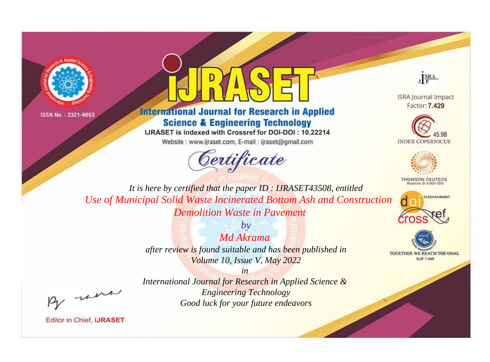



# **International Journal for Research in Applied Science & Engineering Technology**

IJRASET is indexed with Crossref for DOI-DOI: 10.22214

Website: www.ijraset.com, E-mail: ijraset@gmail.com



JERA

**ISRA Journal Impact** Factor: 7.429





**THOMSON REUTERS** 



TOGETHER WE REACH THE GOAL **SJIF 7.429** 

It is here by certified that the paper ID: IJRASET43508, entitled Use of Municipal Solid Waste Incinerated Bottom Ash and Construction **Demolition Waste in Payement** 

> Md Akrama after review is found suitable and has been published in Volume 10, Issue V, May 2022

> > $in$

 $b\nu$ 

were

International Journal for Research in Applied Science & **Engineering Technology** Good luck for your future endeavors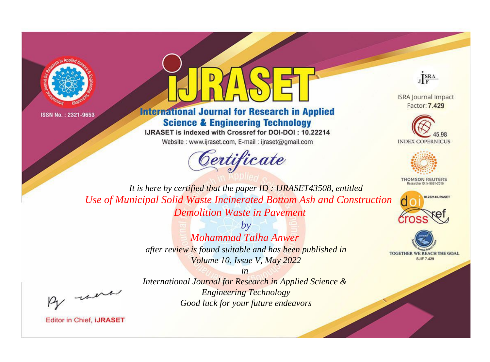



# **International Journal for Research in Applied Science & Engineering Technology**

IJRASET is indexed with Crossref for DOI-DOI: 10.22214

Website: www.ijraset.com, E-mail: ijraset@gmail.com



JERA

**ISRA Journal Impact** Factor: 7.429





**THOMSON REUTERS** 



TOGETHER WE REACH THE GOAL **SJIF 7.429** 

It is here by certified that the paper ID: IJRASET43508, entitled Use of Municipal Solid Waste Incinerated Bottom Ash and Construction **Demolition Waste in Payement** 

> $b\nu$ Mohammad Talha Anwer after review is found suitable and has been published in Volume 10, Issue V, May 2022

were

**Editor in Chief, IJRASET** 

International Journal for Research in Applied Science & **Engineering Technology** Good luck for your future endeavors

 $in$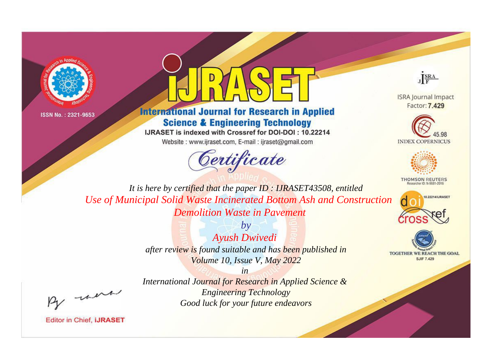



# **International Journal for Research in Applied Science & Engineering Technology**

IJRASET is indexed with Crossref for DOI-DOI: 10.22214

Website: www.ijraset.com, E-mail: ijraset@gmail.com



JERA

**ISRA Journal Impact** Factor: 7.429





**THOMSON REUTERS** 



TOGETHER WE REACH THE GOAL **SJIF 7.429** 

It is here by certified that the paper ID: IJRASET43508, entitled Use of Municipal Solid Waste Incinerated Bottom Ash and Construction **Demolition Waste in Payement** 

> $b\nu$ **Ayush Dwivedi** after review is found suitable and has been published in Volume 10, Issue V, May 2022

were

International Journal for Research in Applied Science & **Engineering Technology** Good luck for your future endeavors

 $in$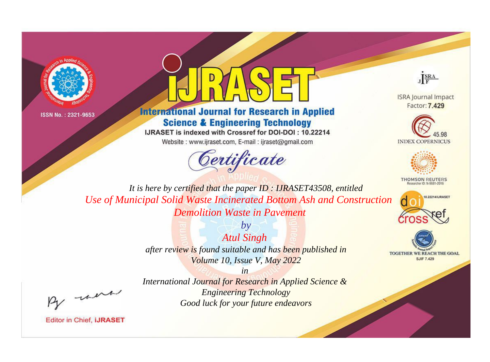



# **International Journal for Research in Applied Science & Engineering Technology**

IJRASET is indexed with Crossref for DOI-DOI: 10.22214

Website: www.ijraset.com, E-mail: ijraset@gmail.com



JERA

**ISRA Journal Impact** Factor: 7.429





**THOMSON REUTERS** 



TOGETHER WE REACH THE GOAL **SJIF 7.429** 

It is here by certified that the paper ID: IJRASET43508, entitled Use of Municipal Solid Waste Incinerated Bottom Ash and Construction **Demolition Waste in Payement** 

> **Atul Singh** after review is found suitable and has been published in Volume 10, Issue V, May 2022

> > $in$

 $b\nu$ 

were

International Journal for Research in Applied Science & **Engineering Technology** Good luck for your future endeavors